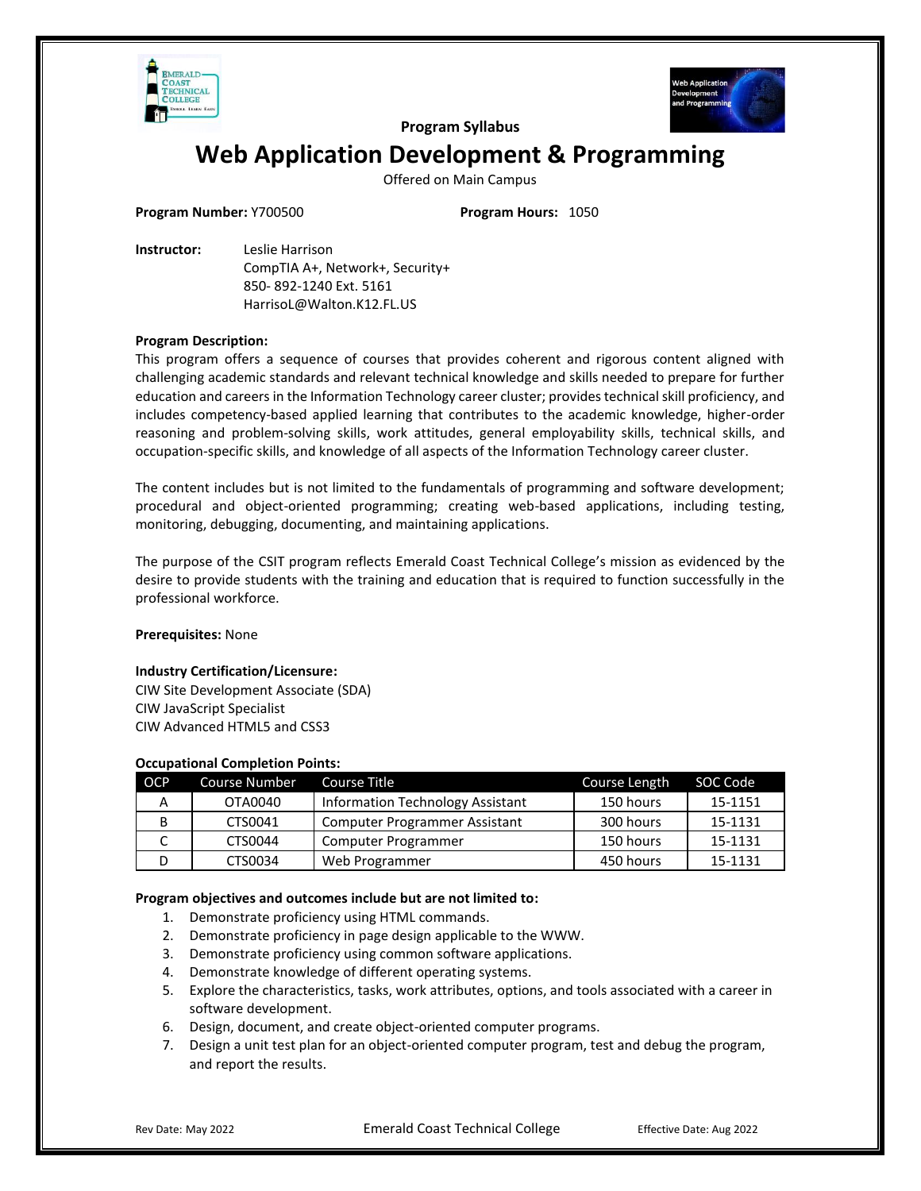



**Program Syllabus**

# **Web Application Development & Programming**

Offered on Main Campus

**Program Number:** Y700500 **Program Hours:** 1050

**Instructor:** Leslie Harrison CompTIA A+, Network+, Security+ 850- 892-1240 Ext. 5161 HarrisoL@Walton.K12.FL.US

# **Program Description:**

This program offers a sequence of courses that provides coherent and rigorous content aligned with challenging academic standards and relevant technical knowledge and skills needed to prepare for further education and careers in the Information Technology career cluster; provides technical skill proficiency, and includes competency-based applied learning that contributes to the academic knowledge, higher-order reasoning and problem-solving skills, work attitudes, general employability skills, technical skills, and occupation-specific skills, and knowledge of all aspects of the Information Technology career cluster.

The content includes but is not limited to the fundamentals of programming and software development; procedural and object-oriented programming; creating web-based applications, including testing, monitoring, debugging, documenting, and maintaining applications.

The purpose of the CSIT program reflects Emerald Coast Technical College's mission as evidenced by the desire to provide students with the training and education that is required to function successfully in the professional workforce.

## **Prerequisites:** None

## **Industry Certification/Licensure:**

CIW Site Development Associate (SDA) CIW JavaScript Specialist CIW Advanced HTML5 and CSS3

## **Occupational Completion Points:**

| <b>OCP</b> | <b>Course Number</b> | Course Title                            | Course Length | SOC Code |
|------------|----------------------|-----------------------------------------|---------------|----------|
| А          | OTA0040              | <b>Information Technology Assistant</b> | 150 hours     | 15-1151  |
| В          | CTS0041              | Computer Programmer Assistant           | 300 hours     | 15-1131  |
|            | CTS0044              | Computer Programmer                     | 150 hours     | 15-1131  |
|            | CTS0034              | Web Programmer                          | 450 hours     | 15-1131  |

## **Program objectives and outcomes include but are not limited to:**

- 1. Demonstrate proficiency using HTML commands.
- 2. Demonstrate proficiency in page design applicable to the WWW.
- 3. Demonstrate proficiency using common software applications.
- 4. Demonstrate knowledge of different operating systems.
- 5. Explore the characteristics, tasks, work attributes, options, and tools associated with a career in software development.
- 6. Design, document, and create object-oriented computer programs.
- 7. Design a unit test plan for an object-oriented computer program, test and debug the program, and report the results.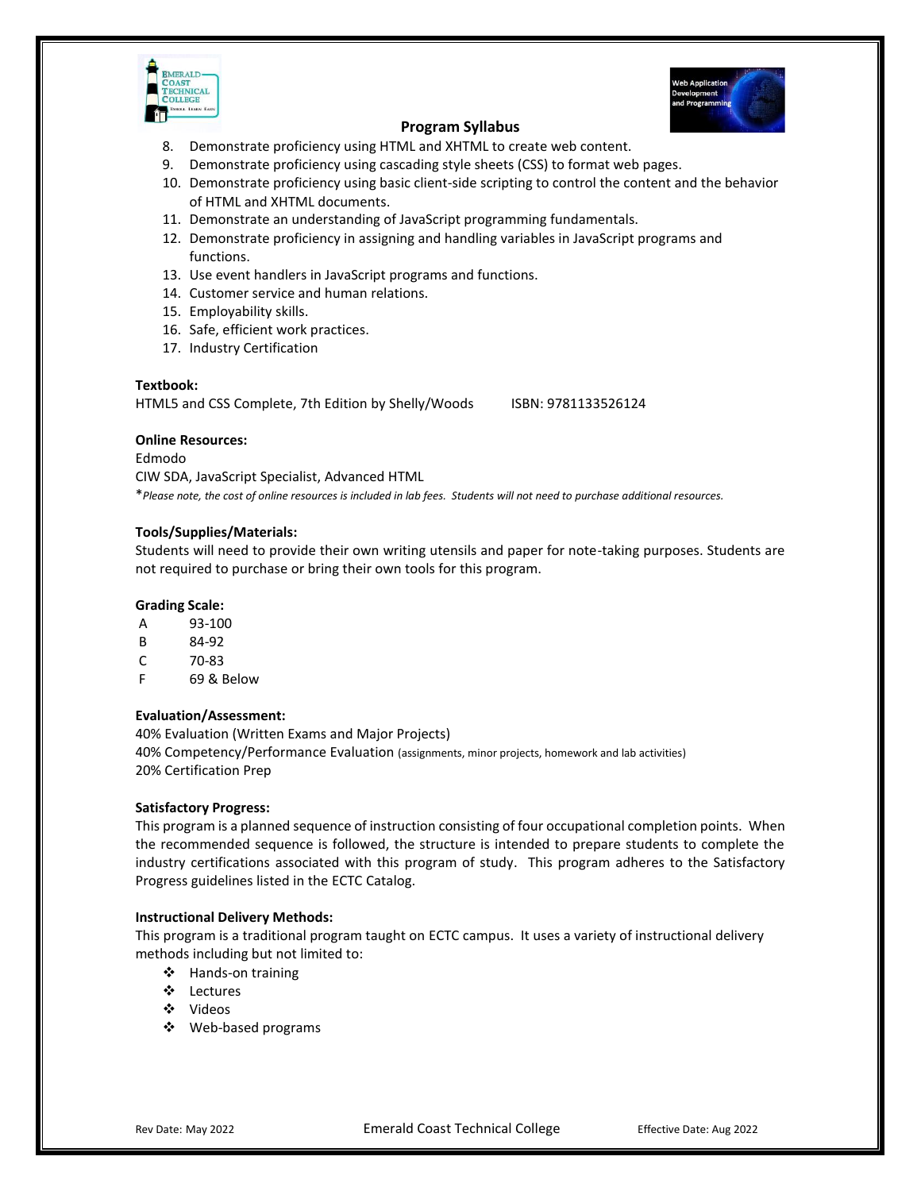

# **Program Syllabus**

- 8. Demonstrate proficiency using HTML and XHTML to create web content.
- 9. Demonstrate proficiency using cascading style sheets (CSS) to format web pages.
- 10. Demonstrate proficiency using basic client-side scripting to control the content and the behavior of HTML and XHTML documents.
- 11. Demonstrate an understanding of JavaScript programming fundamentals.
- 12. Demonstrate proficiency in assigning and handling variables in JavaScript programs and functions.
- 13. Use event handlers in JavaScript programs and functions.
- 14. Customer service and human relations.
- 15. Employability skills.
- 16. Safe, efficient work practices.
- 17. Industry Certification

## **Textbook:**

HTML5 and CSS Complete, 7th Edition by Shelly/Woods ISBN: 9781133526124

# **Online Resources:**

Edmodo CIW SDA, JavaScript Specialist, Advanced HTML \**Please note, the cost of online resources is included in lab fees. Students will not need to purchase additional resources.*

# **Tools/Supplies/Materials:**

Students will need to provide their own writing utensils and paper for note-taking purposes. Students are not required to purchase or bring their own tools for this program.

# **Grading Scale:**

| A | 93-100 |
|---|--------|
|   |        |

- B 84-92
- C 70-83
- F 69 & Below

## **Evaluation/Assessment:**

40% Evaluation (Written Exams and Major Projects) 40% Competency/Performance Evaluation (assignments, minor projects, homework and lab activities) 20% Certification Prep

## **Satisfactory Progress:**

This program is a planned sequence of instruction consisting of four occupational completion points. When the recommended sequence is followed, the structure is intended to prepare students to complete the industry certifications associated with this program of study. This program adheres to the Satisfactory Progress guidelines listed in the ECTC Catalog.

## **Instructional Delivery Methods:**

This program is a traditional program taught on ECTC campus. It uses a variety of instructional delivery methods including but not limited to:

- ❖ Hands-on training
- ❖ Lectures
- ❖ Videos
- ❖ Web-based programs